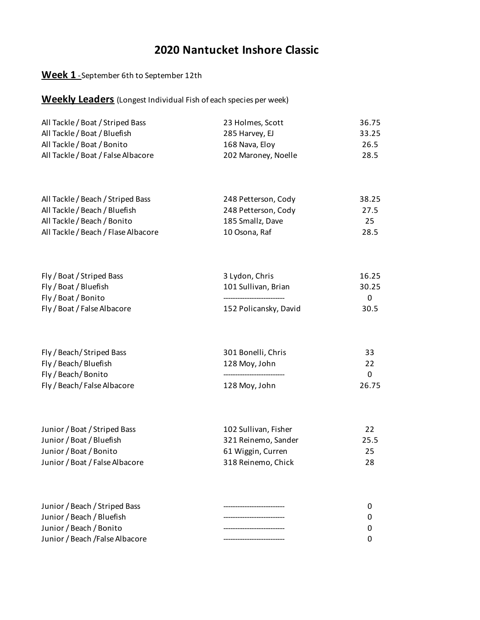### **Week 1** - September 6th to September 12th

| All Tackle / Boat / Striped Bass   | 23 Holmes, Scott    | 36.75 |
|------------------------------------|---------------------|-------|
| All Tackle / Boat / Bluefish       | 285 Harvey, EJ      | 33.25 |
| All Tackle / Boat / Bonito         | 168 Nava, Eloy      | 26.5  |
| All Tackle / Boat / False Albacore | 202 Maroney, Noelle | 28.5  |

| All Tackle / Beach / Striped Bass   | 248 Petterson, Cody | 38.25 |
|-------------------------------------|---------------------|-------|
| All Tackle / Beach / Bluefish       | 248 Petterson, Cody | 27.5  |
| All Tackle / Beach / Bonito         | 185 Smallz. Dave    | 25.   |
| All Tackle / Beach / Flase Albacore | 10 Osona, Raf       | 28.5  |

| Fly / Boat / Striped Bass   | 3 Lydon, Chris        | 16.25 |
|-----------------------------|-----------------------|-------|
| Fly / Boat / Bluefish       | 101 Sullivan, Brian   | 30.25 |
| Fly / Boat / Bonito         |                       |       |
| Fly / Boat / False Albacore | 152 Policansky, David | 30.5  |

| Fly / Beach/ Striped Bass   | 301 Bonelli, Chris | 33    |
|-----------------------------|--------------------|-------|
| Fly / Beach/Bluefish        | 128 Moy, John      | 22    |
| Fly / Beach/Bonito          |                    | 0     |
| Fly / Beach/ False Albacore | 128 Moy, John      | 26.75 |

| Junior / Boat / Striped Bass   | 102 Sullivan, Fisher | 22   |
|--------------------------------|----------------------|------|
| Junior / Boat / Bluefish       | 321 Reinemo, Sander  | 25.5 |
| Junior / Boat / Bonito         | 61 Wiggin, Curren    | 25   |
| Junior / Boat / False Albacore | 318 Reinemo, Chick   | 28   |

| Junior / Beach / Striped Bass   |              |
|---------------------------------|--------------|
| Junior / Beach / Bluefish       |              |
| Junior / Beach / Bonito         | <sup>0</sup> |
| Junior / Beach / False Albacore |              |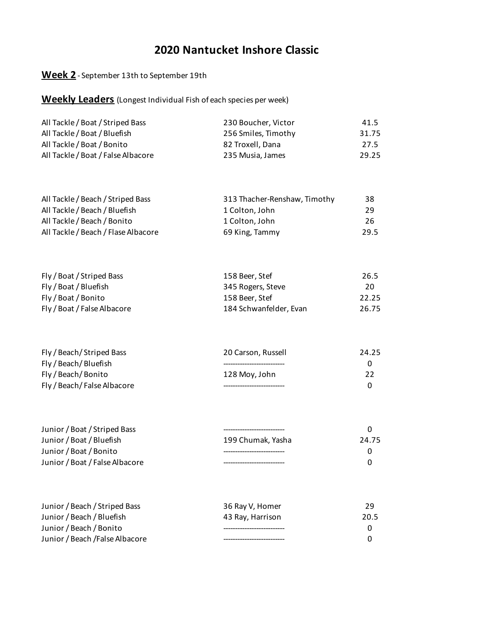### **Week 2** - September 13th to September 19th

| 230 Boucher, Victor | 41.5  |
|---------------------|-------|
| 256 Smiles, Timothy | 31.75 |
| 82 Troxell, Dana    | 27.5  |
| 235 Musia, James    | 29.25 |
|                     |       |

| All Tackle / Beach / Striped Bass   | 313 Thacher-Renshaw, Timothy | 38   |
|-------------------------------------|------------------------------|------|
| All Tackle / Beach / Bluefish       | 1 Colton, John               | 29   |
| All Tackle / Beach / Bonito         | 1 Colton, John               | 26   |
| All Tackle / Beach / Flase Albacore | 69 King, Tammy               | 29.5 |

| Fly / Boat / Striped Bass   | 158 Beer, Stef         | 26.5  |
|-----------------------------|------------------------|-------|
| Fly / Boat / Bluefish       | 345 Rogers, Steve      | 20    |
| Fly / Boat / Bonito         | 158 Beer. Stef         | 22.25 |
| Fly / Boat / False Albacore | 184 Schwanfelder, Evan | 26.75 |

| Fly / Beach/ Striped Bass   | 20 Carson, Russell | 24.25 |
|-----------------------------|--------------------|-------|
| Fly / Beach/ Bluefish       |                    |       |
| Fly / Beach/Bonito          | 128 Moy, John      | 22    |
| Fly / Beach/ False Albacore |                    |       |

| 199 Chumak. Yasha | 24.75 |
|-------------------|-------|
|                   |       |
|                   |       |
|                   |       |

| Junior / Beach / Striped Bass   | 36 Ray V, Homer  | 29   |
|---------------------------------|------------------|------|
| Junior / Beach / Bluefish       | 43 Ray, Harrison | 20.5 |
| Junior / Beach / Bonito         |                  |      |
| Junior / Beach / False Albacore |                  |      |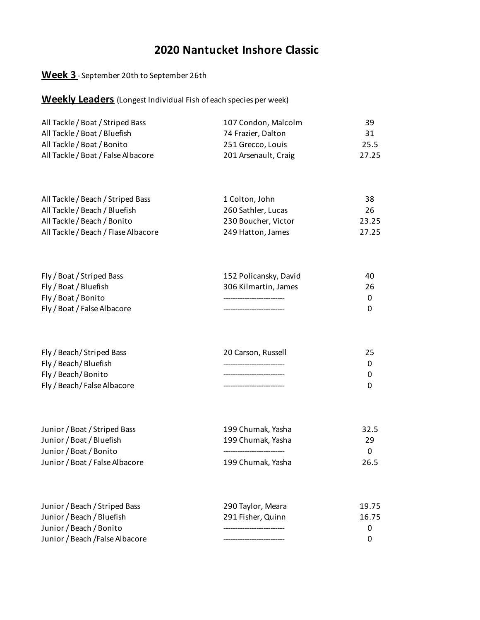### **Week 3** - September 20th to September 26th

| All Tackle / Boat / Striped Bass   | 107 Condon, Malcolm  | 39    |
|------------------------------------|----------------------|-------|
| All Tackle / Boat / Bluefish       | 74 Frazier, Dalton   | 31    |
| All Tackle / Boat / Bonito         | 251 Grecco, Louis    | 25.5  |
| All Tackle / Boat / False Albacore | 201 Arsenault, Craig | 27.25 |

| All Tackle / Beach / Striped Bass   | 1 Colton, John      | 38    |
|-------------------------------------|---------------------|-------|
| All Tackle / Beach / Bluefish       | 260 Sathler, Lucas  | 26    |
| All Tackle / Beach / Bonito         | 230 Boucher, Victor | 23.25 |
| All Tackle / Beach / Flase Albacore | 249 Hatton, James   | 27.25 |

| Fly / Boat / Striped Bass   | 152 Policansky, David | 40. |
|-----------------------------|-----------------------|-----|
| Fly / Boat / Bluefish       | 306 Kilmartin, James  | 26  |
| Fly / Boat / Bonito         |                       |     |
| Fly / Boat / False Albacore |                       |     |

| Fly / Beach/ Striped Bass   | 20 Carson, Russell |  |
|-----------------------------|--------------------|--|
| Fly / Beach/Bluefish        |                    |  |
| Fly / Beach/Bonito          |                    |  |
| Fly / Beach/ False Albacore |                    |  |

| Junior / Boat / Striped Bass   | 199 Chumak. Yasha | 32.5 |
|--------------------------------|-------------------|------|
| Junior / Boat / Bluefish       | 199 Chumak. Yasha | 29   |
| Junior / Boat / Bonito         |                   |      |
| Junior / Boat / False Albacore | 199 Chumak, Yasha | 26.5 |

| Junior / Beach / Striped Bass   | 290 Taylor, Meara | 19.75    |
|---------------------------------|-------------------|----------|
| Junior / Beach / Bluefish       | 291 Fisher, Quinn | 16.75    |
| Junior / Beach / Bonito         |                   | 0        |
| Junior / Beach / False Albacore |                   | $\Omega$ |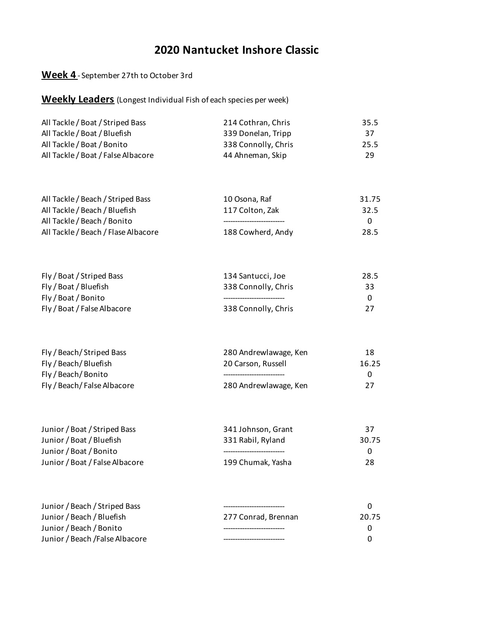### **Week 4** - September 27th to October 3rd

| All Tackle / Boat / Striped Bass   | 214 Cothran, Chris  | 35.5 |
|------------------------------------|---------------------|------|
| All Tackle / Boat / Bluefish       | 339 Donelan, Tripp  | 37.  |
| All Tackle / Boat / Bonito         | 338 Connolly, Chris | 25.5 |
| All Tackle / Boat / False Albacore | 44 Ahneman, Skip    | 29   |

| 10 Osona, Raf     | 31.75    |
|-------------------|----------|
| 117 Colton, Zak   | 32.5     |
|                   | $\Omega$ |
| 188 Cowherd, Andy | 28.5     |
|                   |          |

| Fly / Boat / Striped Bass   | 134 Santucci, Joe   | 28.5 |
|-----------------------------|---------------------|------|
| Fly / Boat / Bluefish       | 338 Connolly, Chris | 33   |
| Fly / Boat / Bonito         |                     |      |
| Fly / Boat / False Albacore | 338 Connolly, Chris | 27   |

| Fly / Beach/Striped Bass    | 280 Andrewlawage, Ken | 18       |
|-----------------------------|-----------------------|----------|
| Fly / Beach/Bluefish        | 20 Carson, Russell    | 16.25    |
| Fly / Beach/Bonito          |                       | $\Omega$ |
| Fly / Beach/ False Albacore | 280 Andrewlawage, Ken | 27       |

| Junior / Boat / Striped Bass   | 341 Johnson, Grant | 37       |
|--------------------------------|--------------------|----------|
| Junior / Boat / Bluefish       | 331 Rabil, Ryland  | 30.75    |
| Junior / Boat / Bonito         |                    | $\Omega$ |
| Junior / Boat / False Albacore | 199 Chumak, Yasha  | 28       |

| Junior / Beach / Striped Bass   |                     |       |
|---------------------------------|---------------------|-------|
| Junior / Beach / Bluefish       | 277 Conrad. Brennan | 20.75 |
| Junior / Beach / Bonito         |                     |       |
| Junior / Beach / False Albacore |                     |       |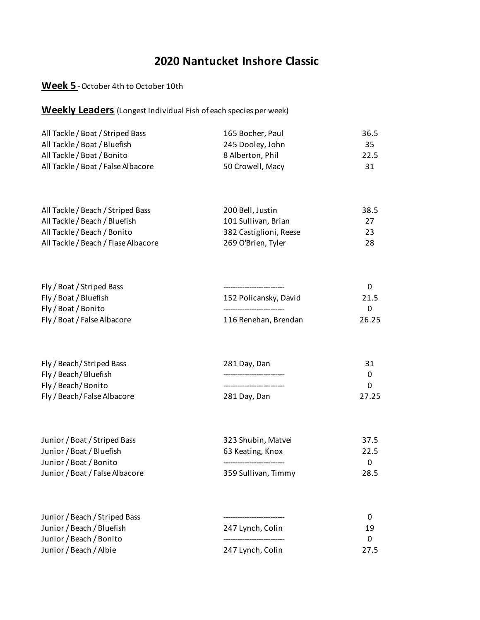#### **Week 5** - October 4th to October 10th

| All Tackle / Boat / Striped Bass   | 165 Bocher, Paul | 36.5 |
|------------------------------------|------------------|------|
| All Tackle / Boat / Bluefish       | 245 Dooley, John | 35.  |
| All Tackle / Boat / Bonito         | 8 Alberton, Phil | 22.5 |
| All Tackle / Boat / False Albacore | 50 Crowell, Macy | 31   |

| All Tackle / Beach / Striped Bass   | 200 Bell, Justin       | 38.5 |
|-------------------------------------|------------------------|------|
| All Tackle / Beach / Bluefish       | 101 Sullivan, Brian    | 27   |
| All Tackle / Beach / Bonito         | 382 Castiglioni, Reese | 23   |
| All Tackle / Beach / Flase Albacore | 269 O'Brien, Tyler     | 28.  |

| Fly / Boat / Striped Bass   |                       |       |
|-----------------------------|-----------------------|-------|
| Fly / Boat / Bluefish       | 152 Policansky, David | 21.5  |
| Fly / Boat / Bonito         |                       |       |
| Fly / Boat / False Albacore | 116 Renehan, Brendan  | 26.25 |

| Fly / Beach/Striped Bass    | 281 Day, Dan | 31    |
|-----------------------------|--------------|-------|
| Fly / Beach/ Bluefish       |              |       |
| Fly / Beach/Bonito          |              |       |
| Fly / Beach/ False Albacore | 281 Day, Dan | 27.25 |

| Junior / Boat / Striped Bass   | 323 Shubin, Matvei  | 37.5     |
|--------------------------------|---------------------|----------|
| Junior / Boat / Bluefish       | 63 Keating, Knox    | 22.5     |
| Junior / Boat / Bonito         |                     | $\Omega$ |
| Junior / Boat / False Albacore | 359 Sullivan, Timmy | 28.5     |

| Junior / Beach / Striped Bass |                  |      |
|-------------------------------|------------------|------|
| Junior / Beach / Bluefish     | 247 Lynch, Colin | 19   |
| Junior / Beach / Bonito       |                  |      |
| Junior / Beach / Albie        | 247 Lynch, Colin | 27.5 |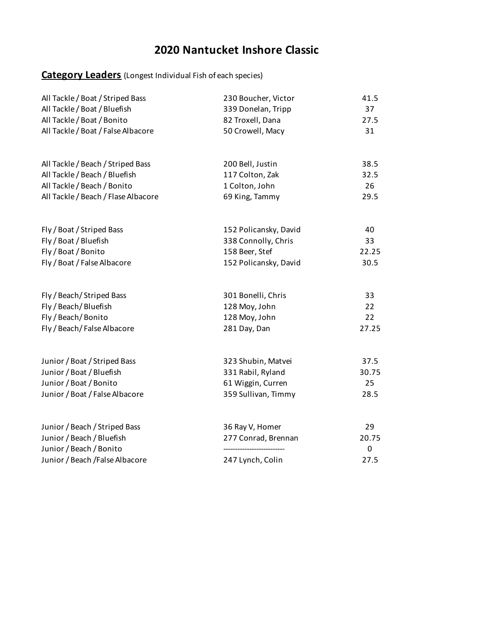### **Category Leaders** (Longest Individual Fish of each species)

| All Tackle / Boat / Striped Bass                     | 230 Boucher, Victor   | 41.5       |
|------------------------------------------------------|-----------------------|------------|
| All Tackle / Boat / Bluefish                         | 339 Donelan, Tripp    | 37         |
| All Tackle / Boat / Bonito                           | 82 Troxell, Dana      | 27.5       |
| All Tackle / Boat / False Albacore                   | 50 Crowell, Macy      | 31         |
| All Tackle / Beach / Striped Bass                    | 200 Bell, Justin      | 38.5       |
| All Tackle / Beach / Bluefish                        | 117 Colton, Zak       | 32.5       |
| All Tackle / Beach / Bonito                          | 1 Colton, John        | 26         |
| All Tackle / Beach / Flase Albacore                  | 69 King, Tammy        | 29.5       |
| Fly / Boat / Striped Bass                            | 152 Policansky, David | 40         |
| Fly / Boat / Bluefish                                | 338 Connolly, Chris   | 33         |
| Fly / Boat / Bonito                                  | 158 Beer, Stef        | 22.25      |
| Fly / Boat / False Albacore                          | 152 Policansky, David | 30.5       |
| Fly / Beach/ Striped Bass                            | 301 Bonelli, Chris    | 33         |
| Fly / Beach / Bluefish                               | 128 Moy, John         | 22         |
| Fly / Beach/Bonito                                   | 128 Moy, John         | 22         |
| Fly / Beach/False Albacore                           | 281 Day, Dan          | 27.25      |
| Junior / Boat / Striped Bass                         | 323 Shubin, Matvei    | 37.5       |
| Junior / Boat / Bluefish                             | 331 Rabil, Ryland     | 30.75      |
| Junior / Boat / Bonito                               | 61 Wiggin, Curren     | 25         |
| Junior / Boat / False Albacore                       | 359 Sullivan, Timmy   | 28.5       |
| Junior / Beach / Striped Bass                        | 36 Ray V, Homer       | 29         |
| Junior / Beach / Bluefish<br>Junior / Beach / Bonito | 277 Conrad, Brennan   | 20.75<br>0 |
| Junior / Beach / False Albacore                      | 247 Lynch, Colin      | 27.5       |